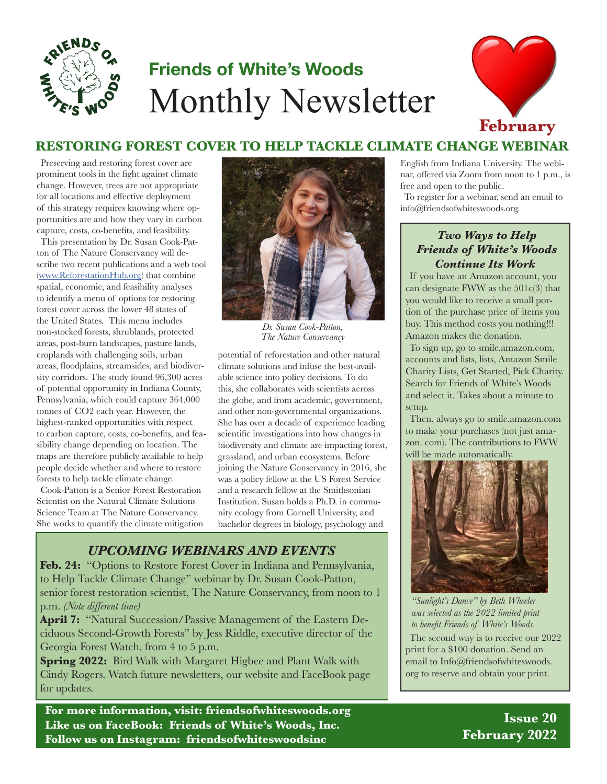

# **Friends of White's Woods** Monthly Newsletter



### **RESTORING FOREST COVER TO HELP TACKLE CLIMATE CHANGE WEBINAR**

Preserving and restoring forest cover are prominent tools in the fight against climate change. However, trees are not appropriate for all locations and effective deployment of this strategy requires knowing where opportunities are and how they vary in carbon capture, costs, co-benefits, and feasibility.

This presentation by Dr. Susan Cook-Patton of The Nature Conservancy will describe two recent publications and a web tool ([www.ReforestationHub.org\)](http://www.ReforestationHub.org) that combine spatial, economic, and feasibility analyses to identify a menu of options for restoring forest cover across the lower 48 states of the United States. This menu includes non-stocked forests, shrublands, protected areas, post-burn landscapes, pasture lands, croplands with challenging soils, urban areas, floodplains, streamsides, and biodiversity corridors. The study found 96,300 acres of potential opportunity in Indiana County, Pennsylvania, which could capture 364,000 tonnes of CO2 each year. However, the highest-ranked opportunities with respect to carbon capture, costs, co-benefits, and feasibility change depending on location. The maps are therefore publicly available to help people decide whether and where to restore forests to help tackle climate change.

Cook-Patton is a Senior Forest Restoration Scientist on the Natural Climate Solutions Science Team at The Nature Conservancy. She works to quantify the climate mitigation



*Dr. Susan Cook-Patton, The Nature Conservancy*

potential of reforestation and other natural climate solutions and infuse the best-available science into policy decisions. To do this, she collaborates with scientists across the globe, and from academic, government, and other non-governmental organizations. She has over a decade of experience leading scientific investigations into how changes in biodiversity and climate are impacting forest, grassland, and urban ecosystems. Before joining the Nature Conservancy in 2016, she was a policy fellow at the US Forest Service and a research fellow at the Smithsonian Institution. Susan holds a Ph.D. in community ecology from Cornell University, and bachelor degrees in biology, psychology and

#### *UPCOMING WEBINARS AND EVENTS*

Feb. 24: "Options to Restore Forest Cover in Indiana and Pennsylvania, to Help Tackle Climate Change" webinar by Dr. Susan Cook-Patton, senior forest restoration scientist, The Nature Conservancy, from noon to 1 p.m. *(Note different time)*

**April 7:** "Natural Succession/Passive Management of the Eastern Deciduous Second-Growth Forests" by Jess Riddle, executive director of the Georgia Forest Watch, from 4 to 5 p.m.

**Spring 2022:** Bird Walk with Margaret Higbee and Plant Walk with Cindy Rogers. Watch future newsletters, our website and FaceBook page for updates.

**For more information, visit: friendsofwhiteswoods.org Like us on FaceBook: Friends of White's Woods, Inc. Follow us on Instagram: friendsofwhiteswoodsinc**

English from Indiana University. The webinar, offered via Zoom from noon to 1 p.m., is free and open to the public.

To register for a webinar, send an email to info@friendsofwhiteswoods.org.

#### *Two Ways to Help Friends of White's Woods Continue Its Work*

If you have an Amazon account, you can designate FWW as the  $501c(3)$  that you would like to receive a small portion of the purchase price of items you buy. This method costs you nothing!!! Amazon makes the donation.

To sign up, go to smile.amazon.com, accounts and lists, lists, Amazon Smile Charity Lists, Get Started, Pick Charity. Search for Friends of White's Woods and select it. Takes about a minute to setup.

Then, always go to smile.amazon.com to make your purchases (not just amazon. com). The contributions to FWW will be made automatically.



*"Sunlight's Dance" by Beth Wheeler was selected as the 2022 limited print to benefit Friends of White's Woods.* The second way is to receive our 2022 print for a \$100 donation. Send an email to Info@friendsofwhiteswoods. org to reserve and obtain your print.

> **Issue 20 February 2022**